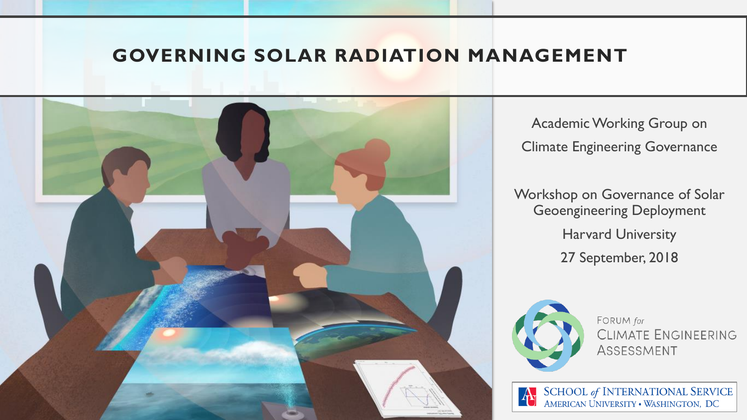#### **GOVERNING SOLAR RADIATION MANAGEMENT**



Academic Working Group on Climate Engineering Governance

Workshop on Governance of Solar Geoengineering Deployment Harvard University 27 September, 2018



FORUM for CLIMATE ENGINEERING ASSESSMENT

SCHOOL of INTERNATIONAL SERVICE<br>AMERICAN UNIVERSITY • WASHINGTON, DC  $\mathbf{A}_{\mathbb{I}}$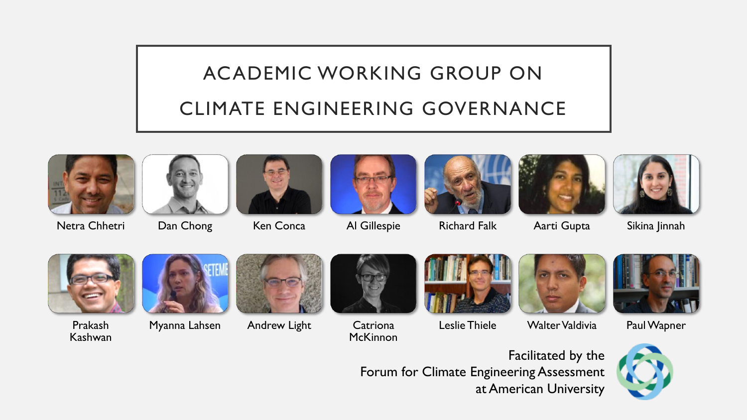## ACADEMIC WORKING GROUP ON

#### CLIMATE ENGINEERING GOVERNANCE



Netra Chhetri Dan Chong Ken Conca Al Gillespie Richard Falk Aarti Gupta Sikina Jinnah















Prakash Kashwan





Myanna Lahsen Andrew Light Catriona



**McKinnon** 







Leslie Thiele Walter Valdivia Paul Wapner



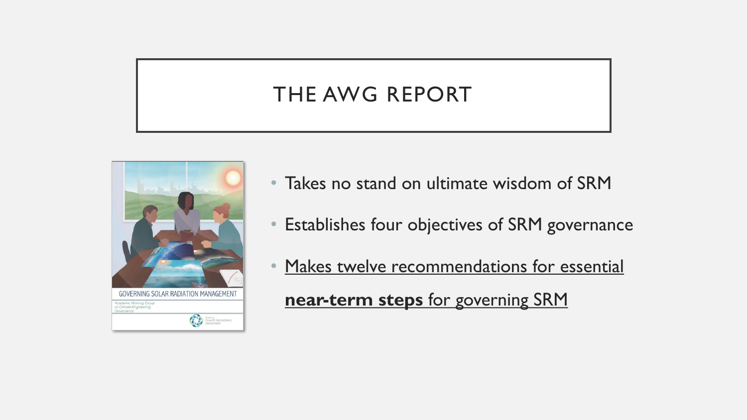#### THE AWG REPORT



- Takes no stand on ultimate wisdom of SRM
- Establishes four objectives of SRM governance
- Makes twelve recommendations for essential **near-term steps** for governing SRM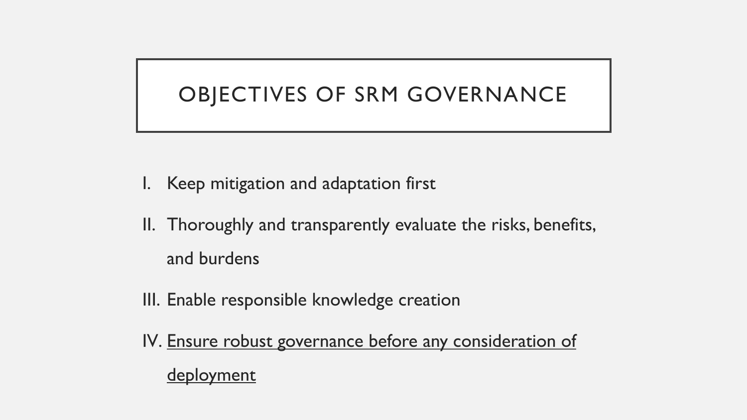#### OBJECTIVES OF SRM GOVERNANCE

- I. Keep mitigation and adaptation first
- II. Thoroughly and transparently evaluate the risks, benefits, and burdens
- III. Enable responsible knowledge creation
- IV. Ensure robust governance before any consideration of deployment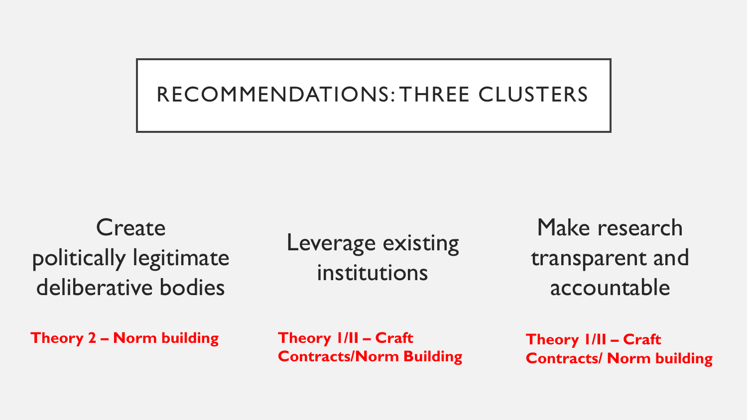#### RECOMMENDATIONS: THREE CLUSTERS

**Create** politically legitimate deliberative bodies

Leverage existing institutions

Make research transparent and accountable

**Theory 2 – Norm building Theory 1/II – Craft** 

**Contracts/Norm Building**

**Theory 1/II – Craft Contracts/ Norm building**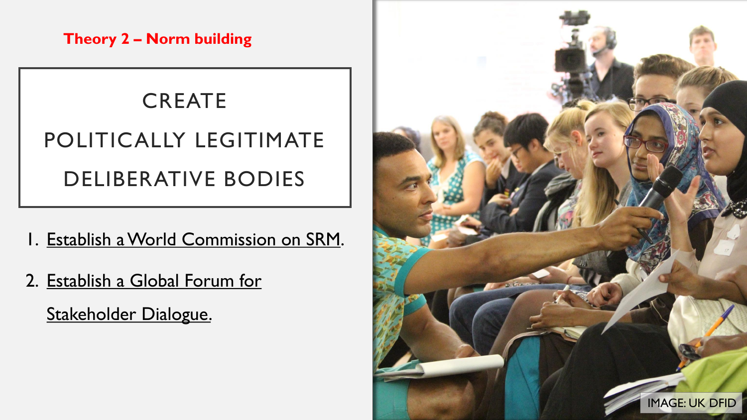**Theory 2 – Norm building**

#### **CREATE**

# POLITICALLY LEGITIMATE DELIBERATIVE BODIES

- 1. Establish a World Commission on SRM.
- 2. Establish a Global Forum for Stakeholder Dialogue.

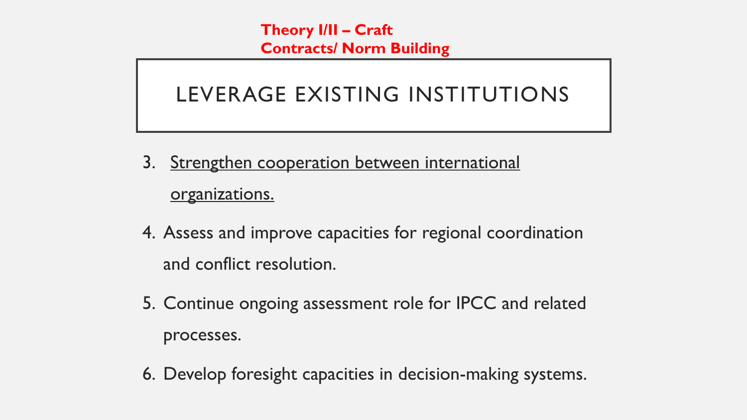**Theory I/II – Craft Contracts/ Norm Building**

#### LEVERAGE EXISTING INSTITUTIONS

- 3. Strengthen cooperation between international organizations.
- 4. Assess and improve capacities for regional coordination and conflict resolution.
- 5. Continue ongoing assessment role for IPCC and related processes.
- 6. Develop foresight capacities in decision-making systems.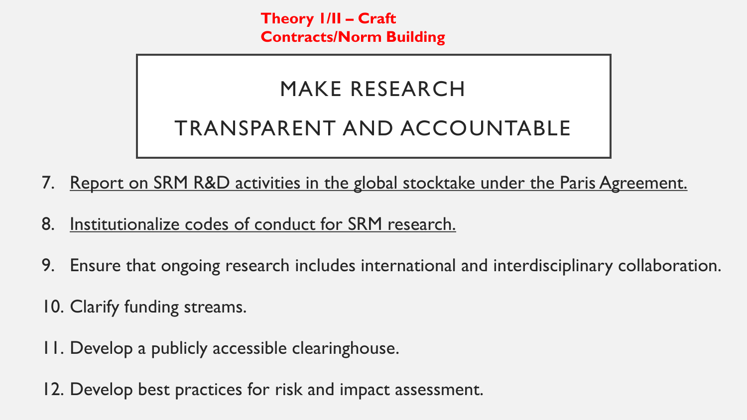**Theory 1/II – Craft Contracts/Norm Building**

#### MAKE RESEARCH

### TRANSPARENT AND ACCOUNTABLE

- 7. Report on SRM R&D activities in the global stocktake under the Paris Agreement.
- 8. Institutionalize codes of conduct for SRM research.
- 9. Ensure that ongoing research includes international and interdisciplinary collaboration.
- 10. Clarify funding streams.
- 11. Develop a publicly accessible clearinghouse.
- 12. Develop best practices for risk and impact assessment.